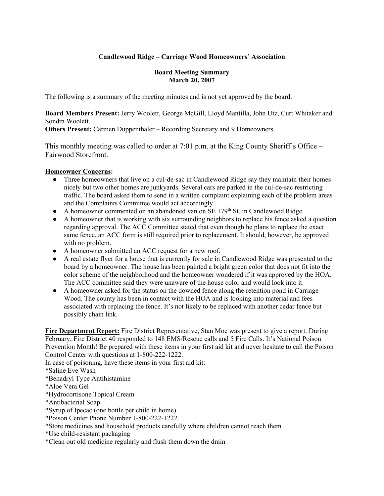# **Candlewood Ridge – Carriage Wood Homeowners' Association**

#### **Board Meeting Summary March 20, 2007**

The following is a summary of the meeting minutes and is not yet approved by the board.

**Board Members Present:** Jerry Woolett, George McGill, Lloyd Mantilla, John Utz, Curt Whitaker and Sondra Woolett.

**Others Present:** Carmen Duppenthaler – Recording Secretary and 9 Homeowners.

This monthly meeting was called to order at 7:01 p.m. at the King County Sheriff's Office – Fairwood Storefront.

#### **Homeowner Concerns:**

- Three homeowners that live on a cul-de-sac in Candlewood Ridge say they maintain their homes nicely but two other homes are junkyards. Several cars are parked in the cul-de-sac restricting traffic. The board asked them to send in a written complaint explaining each of the problem areas and the Complaints Committee would act accordingly.
- $\bullet$  A homeowner commented on an abandoned van on SE 179<sup>th</sup> St. in Candlewood Ridge.
- A homeowner that is working with six surrounding neighbors to replace his fence asked a question regarding approval. The ACC Committee stated that even though he plans to replace the exact same fence, an ACC form is still required prior to replacement. It should, however, be approved with no problem.
- A homeowner submitted an ACC request for a new roof.
- A real estate flyer for a house that is currently for sale in Candlewood Ridge was presented to the board by a homeowner. The house has been painted a bright green color that does not fit into the color scheme of the neighborhood and the homeowner wondered if it was approved by the HOA. The ACC committee said they were unaware of the house color and would look into it.
- A homeowner asked for the status on the downed fence along the retention pond in Carriage Wood. The county has been in contact with the HOA and is looking into material and fees associated with replacing the fence. It's not likely to be replaced with another cedar fence but possibly chain link.

**Fire Department Report:** Fire District Representative, Stan Moe was present to give a report. During February, Fire District 40 responded to 148 EMS/Rescue calls and 5 Fire Calls. It's National Poison Prevention Month! Be prepared with these items in your first aid kit and never hesitate to call the Poison Control Center with questions at 1-800-222-1222.

In case of poisoning, have these items in your first aid kit:

\*Saline Eve Wash

- \*Benadryl Type Antihistamine
- \*Aloe Vera Gel
- \*Hydrocortisone Topical Cream
- \*Antibacterial Soap
- \*Syrup of Ipecac (one bottle per child in home)
- \*Poison Center Phone Number 1-800-222-1222
- \*Store medicines and household products carefully where children cannot reach them
- \*Use child-resistant packaging
- \*Clean out old medicine regularly and flush them down the drain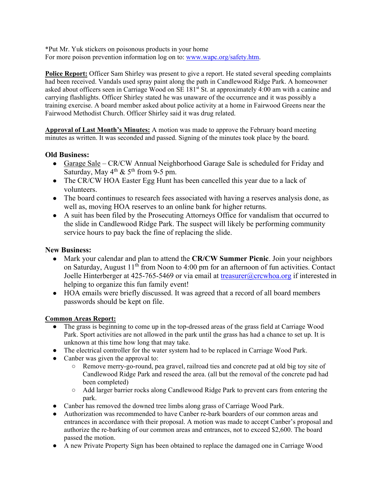\*Put Mr. Yuk stickers on poisonous products in your home For more poison prevention information log on to: www.wapc.org/safety.htm.

**Police Report:** Officer Sam Shirley was present to give a report. He stated several speeding complaints had been received. Vandals used spray paint along the path in Candlewood Ridge Park. A homeowner asked about officers seen in Carriage Wood on SE 181st St. at approximately 4:00 am with a canine and carrying flashlights. Officer Shirley stated he was unaware of the occurrence and it was possibly a training exercise. A board member asked about police activity at a home in Fairwood Greens near the Fairwood Methodist Church. Officer Shirley said it was drug related.

**Approval of Last Month's Minutes:** A motion was made to approve the February board meeting minutes as written. It was seconded and passed. Signing of the minutes took place by the board.

# **Old Business:**

- Garage Sale CR/CW Annual Neighborhood Garage Sale is scheduled for Friday and Saturday, May  $4^{\text{th}}$  &  $5^{\text{th}}$  from 9-5 pm.
- The CR/CW HOA Easter Egg Hunt has been cancelled this year due to a lack of volunteers.
- The board continues to research fees associated with having a reserves analysis done, as well as, moving HOA reserves to an online bank for higher returns.
- A suit has been filed by the Prosecuting Attorneys Office for vandalism that occurred to the slide in Candlewood Ridge Park. The suspect will likely be performing community service hours to pay back the fine of replacing the slide.

## **New Business:**

- Mark your calendar and plan to attend the **CR/CW Summer Picnic**. Join your neighbors on Saturday, August  $11<sup>th</sup>$  from Noon to 4:00 pm for an afternoon of fun activities. Contact Joelle Hinterberger at 425-765-5469 or via email at treasurer@crcwhoa.org if interested in helping to organize this fun family event!
- HOA emails were briefly discussed. It was agreed that a record of all board members passwords should be kept on file.

## **Common Areas Report:**

- The grass is beginning to come up in the top-dressed areas of the grass field at Carriage Wood Park. Sport activities are not allowed in the park until the grass has had a chance to set up. It is unknown at this time how long that may take.
- The electrical controller for the water system had to be replaced in Carriage Wood Park.
- Canber was given the approval to:
	- Remove merry-go-round, pea gravel, railroad ties and concrete pad at old big toy site of Candlewood Ridge Park and reseed the area. (all but the removal of the concrete pad had been completed)
	- Add larger barrier rocks along Candlewood Ridge Park to prevent cars from entering the park.
- Canber has removed the downed tree limbs along grass of Carriage Wood Park.
- Authorization was recommended to have Canber re-bark boarders of our common areas and entrances in accordance with their proposal. A motion was made to accept Canber's proposal and authorize the re-barking of our common areas and entrances, not to exceed \$2,600. The board passed the motion.
- A new Private Property Sign has been obtained to replace the damaged one in Carriage Wood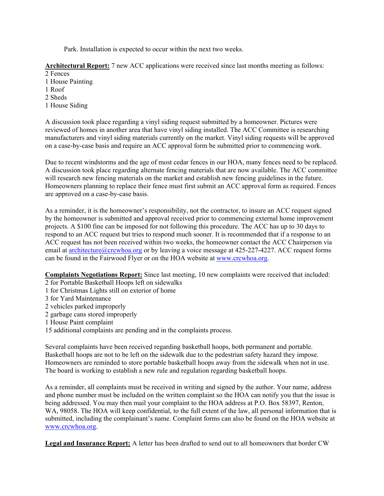Park. Installation is expected to occur within the next two weeks.

**Architectural Report:** 7 new ACC applications were received since last months meeting as follows:

- 2 Fences
- 1 House Painting
- 1 Roof
- 2 Sheds
- 1 House Siding

A discussion took place regarding a vinyl siding request submitted by a homeowner. Pictures were reviewed of homes in another area that have vinyl siding installed. The ACC Committee is researching manufacturers and vinyl siding materials currently on the market. Vinyl siding requests will be approved on a case-by-case basis and require an ACC approval form be submitted prior to commencing work.

Due to recent windstorms and the age of most cedar fences in our HOA, many fences need to be replaced. A discussion took place regarding alternate fencing materials that are now available. The ACC committee will research new fencing materials on the market and establish new fencing guidelines in the future. Homeowners planning to replace their fence must first submit an ACC approval form as required. Fences are approved on a case-by-case basis.

As a reminder, it is the homeowner's responsibility, not the contractor, to insure an ACC request signed by the homeowner is submitted and approval received prior to commencing external home improvement projects. A \$100 fine can be imposed for not following this procedure. The ACC has up to 30 days to respond to an ACC request but tries to respond much sooner. It is recommended that if a response to an ACC request has not been received within two weeks, the homeowner contact the ACC Chairperson via email at architecture@crcwhoa.org or by leaving a voice message at 425-227-4227. ACC request forms can be found in the Fairwood Flyer or on the HOA website at www.crcwhoa.org.

**Complaints Negotiations Report:** Since last meeting, 10 new complaints were received that included:

- 2 for Portable Basketball Hoops left on sidewalks
- 1 for Christmas Lights still on exterior of home
- 3 for Yard Maintenance
- 2 vehicles parked improperly
- 2 garbage cans stored improperly
- 1 House Paint complaint
- 15 additional complaints are pending and in the complaints process.

Several complaints have been received regarding basketball hoops, both permanent and portable. Basketball hoops are not to be left on the sidewalk due to the pedestrian safety hazard they impose. Homeowners are reminded to store portable basketball hoops away from the sidewalk when not in use. The board is working to establish a new rule and regulation regarding basketball hoops.

As a reminder, all complaints must be received in writing and signed by the author. Your name, address and phone number must be included on the written complaint so the HOA can notify you that the issue is being addressed. You may then mail your complaint to the HOA address at P.O. Box 58397, Renton, WA, 98058. The HOA will keep confidential, to the full extent of the law, all personal information that is submitted, including the complainant's name. Complaint forms can also be found on the HOA website at www.crcwhoa.org.

**Legal and Insurance Report:** A letter has been drafted to send out to all homeowners that border CW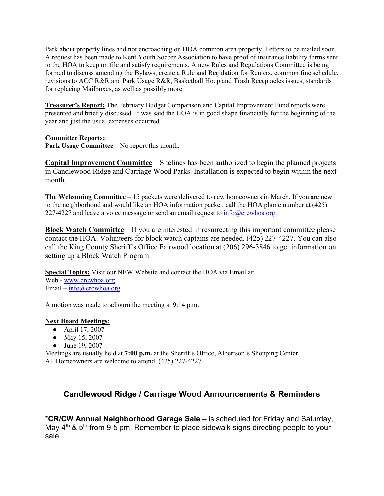Park about property lines and not encroaching on HOA common area property. Letters to be mailed soon. A request has been made to Kent Youth Soccer Association to have proof of insurance liability forms sent to the HOA to keep on file and satisfy requirements. A new Rules and Regulations Committee is being formed to discuss amending the Bylaws, create a Rule and Regulation for Renters, common fine schedule, revisions to ACC R&R and Park Usage R&R, Basketball Hoop and Trash Receptacles issues, standards for replacing Mailboxes, as well as possibly more.

**Treasurer's Report:** The February Budget Comparison and Capital Improvement Fund reports were presented and briefly discussed. It was said the HOA is in good shape financially for the beginning of the year and just the usual expenses occurred.

## **Committee Reports:**

**Park Usage Committee** – No report this month.

**Capital Improvement Committee** – Sitelines has been authorized to begin the planned projects in Candlewood Ridge and Carriage Wood Parks. Installation is expected to begin within the next month.

**The Welcoming Committee** – 15 packets were delivered to new homeowners in March. If you are new to the neighborhood and would like an HOA information packet, call the HOA phone number at (425) 227-4227 and leave a voice message or send an email request to  $\frac{info@crcwhoa.org}{info@crcwhoa.org}$ .

**Block Watch Committee** – If you are interested in resurrecting this important committee please contact the HOA. Volunteers for block watch captains are needed. (425) 227-4227. You can also call the King County Sheriff's Office Fairwood location at (206) 296-3846 to get information on setting up a Block Watch Program.

**Special Topics:** Visit our NEW Website and contact the HOA via Email at: Web - www.crcwhoa.org Email – info@crcwhoa.org

A motion was made to adjourn the meeting at 9:14 p.m.

#### **Next Board Meetings:**

- April 17, 2007
- May 15, 2007
- June 19, 2007

Meetings are usually held at **7:00 p.m.** at the Sheriff's Office, Albertson's Shopping Center. All Homeowners are welcome to attend. (425) 227-4227

# **Candlewood Ridge / Carriage Wood Announcements & Reminders**

\***CR/CW Annual Neighborhood Garage Sale** – is scheduled for Friday and Saturday, May  $4<sup>th</sup>$  &  $5<sup>th</sup>$  from 9-5 pm. Remember to place sidewalk signs directing people to your sale.